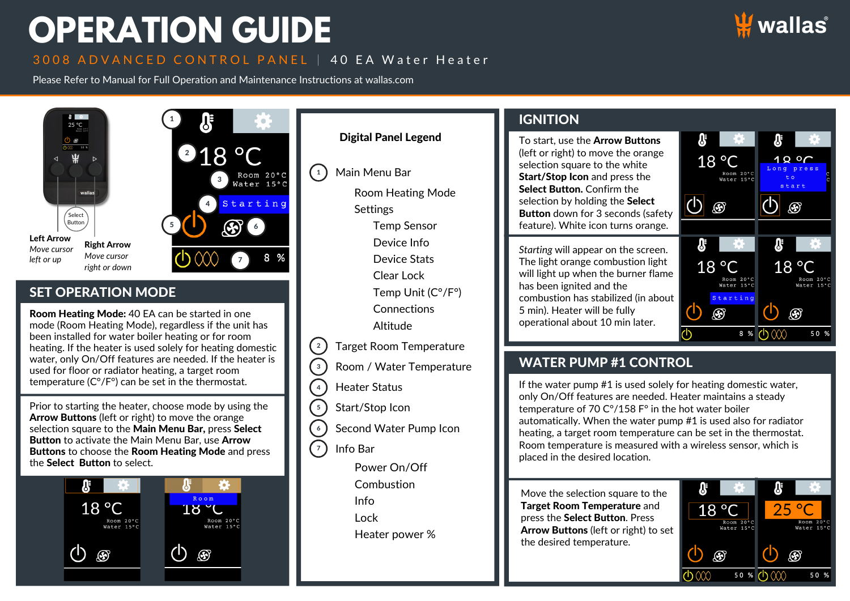# **OPERATION GUIDE**

# 3008 ADVANCED CONTROL PANEL | 40 EA Water Heater

Please Refer to Manual for Full Operation and Maintenance Instructions at wallas.com



#### $8 - 2$ **IGNITION** 1 25 °C Digital Panel Legend 8 **SF** To start, use the Arrow Buttons  $218 °C$ (left or right) to move the orange 18 °C  $190$ selection square to the white  $\binom{1}{1}$ Main Menu Bar Room 20°C<br>Water 15°C Room 20°C Start/Stop Icon and press the 3 Water 15°C  $s + ar +$ Select Button. Confirm the Room Heating Mode  $\bigcirc$   $\circledast$ selection by holding the **Select**  $\overline{\bigcirc}$ Starting 44 ⊛ **Settings** Button down for 3 seconds (safety Select Button **3**  $6<sup>1</sup>$ Temp Sensor feature). White icon turns orange. 5 Left Arrow Device Info  $\mathbf{v}$  $\mathbf{r}$ Right Arrow *Move cursor Starting* will appear on the screen. *Move cursor* 8 % Device Stats *left or up* 7 The light orange combustion light  $18^{\circ}$ C  $18^{\circ}$ C *right or down* will light up when the burner flame Clear Lock Room 20°C<br>Water 15°C Room 20°C<br>Water 15°C has been ignited and the SET OPERATION MODE Temp Unit (C°/F°) combustion has stabilized (in about Starting **Connections** 5 min). Heater will be fully  $\mathcal{F}$  $\circledast$ Room Heating Mode: 40 EA can be started in one operational about 10 min later. mode (Room Heating Mode), regardless if the unit has Altitude  $\phi$  $8 %$  (b)  $000$  $50%$ been installed for water boiler heating or for room  $\binom{2}{2}$ Target Room Temperature heating. If the heater is used solely for heating domestic water, only On/Off features are needed. If the heater is WATER PUMP #1 CONTROL  $\sqrt{3}$ Room / Water Temperature used for floor or radiator heating, a target room temperature (C°/F°) can be set in the thermostat. If the water pump #1 is used solely for heating domestic water,  $4$ Heater Status only On/Off features are needed. Heater maintains a steady Prior to starting the heater, choose mode by using the  $\left(5\right)$ Start/Stop Icon temperature of 70 C°/158 F° in the hot water boiler Arrow Buttons (left or right) to move the orange automatically. When the water pump #1 is used also for radiator  $6<sup>1</sup>$ Second Water Pump Icon selection square to the Main Menu Bar, press Select heating, a target room temperature can be set in the thermostat. **Button** to activate the Main Menu Bar, use **Arrow** Room temperature is measured with a wireless sensor, which is  $\sqrt{7}$ Info Bar Buttons to choose the Room Heating Mode and press placed in the desired location. the Select Button to select.



Power On/Off

**Combustion** 

Info

Lock

Heater power %

Move the selection square to the Target Room Temperature and press the Select Button. Press Arrow Buttons (left or right) to set the desired temperature.